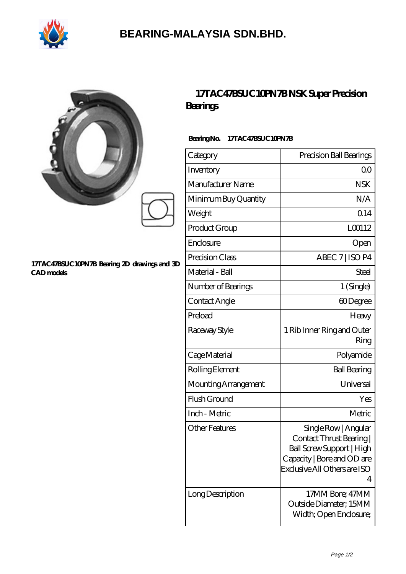

## **[BEARING-MALAYSIA SDN.BHD.](https://ferret-game.com)**

|                                                                   | <b>Bearings</b>                 | 17TAC47BSUC10PN7BNSK Super Precision                                                                                                           |
|-------------------------------------------------------------------|---------------------------------|------------------------------------------------------------------------------------------------------------------------------------------------|
|                                                                   | BearingNo.<br>17TAC47BSUC10PN7B |                                                                                                                                                |
|                                                                   | Category                        | Precision Ball Bearings                                                                                                                        |
|                                                                   | Inventory                       | 0 <sub>0</sub>                                                                                                                                 |
|                                                                   | Manufacturer Name               | <b>NSK</b>                                                                                                                                     |
|                                                                   | Minimum Buy Quantity            | N/A                                                                                                                                            |
|                                                                   | Weight                          | Q14                                                                                                                                            |
|                                                                   | Product Group                   | LO0112                                                                                                                                         |
|                                                                   | Enclosure                       | Open                                                                                                                                           |
|                                                                   | Precision Class                 | ABEC 7   ISO P4                                                                                                                                |
| 17TAC47BSUC10PN7B Bearing 2D drawings and 3D<br><b>CAD</b> models | Material - Ball                 | <b>Steel</b>                                                                                                                                   |
|                                                                   | Number of Bearings              | 1 (Single)                                                                                                                                     |
|                                                                   | Contact Angle                   | 60Degree                                                                                                                                       |
|                                                                   | Preload                         | Heavy                                                                                                                                          |
|                                                                   | Raceway Style                   | 1 Rib Inner Ring and Outer<br>Ring                                                                                                             |
|                                                                   | Cage Material                   | Polyamide                                                                                                                                      |
|                                                                   | Rolling Element                 | <b>Ball Bearing</b>                                                                                                                            |
|                                                                   | Mounting Arrangement            | Universal                                                                                                                                      |
|                                                                   | Flush Ground                    | Yes                                                                                                                                            |
|                                                                   | Inch - Metric                   | Metric                                                                                                                                         |
|                                                                   | <b>Other Features</b>           | Single Row   Angular<br>Contact Thrust Bearing<br>Ball Screw Support   High<br>Capacity   Bore and OD are<br>Exclusive All Others are ISO<br>4 |
|                                                                   | LongDescription                 | 17MM Bore; 47MM                                                                                                                                |

Outside Diameter; 15MM Width; Open Enclosure;